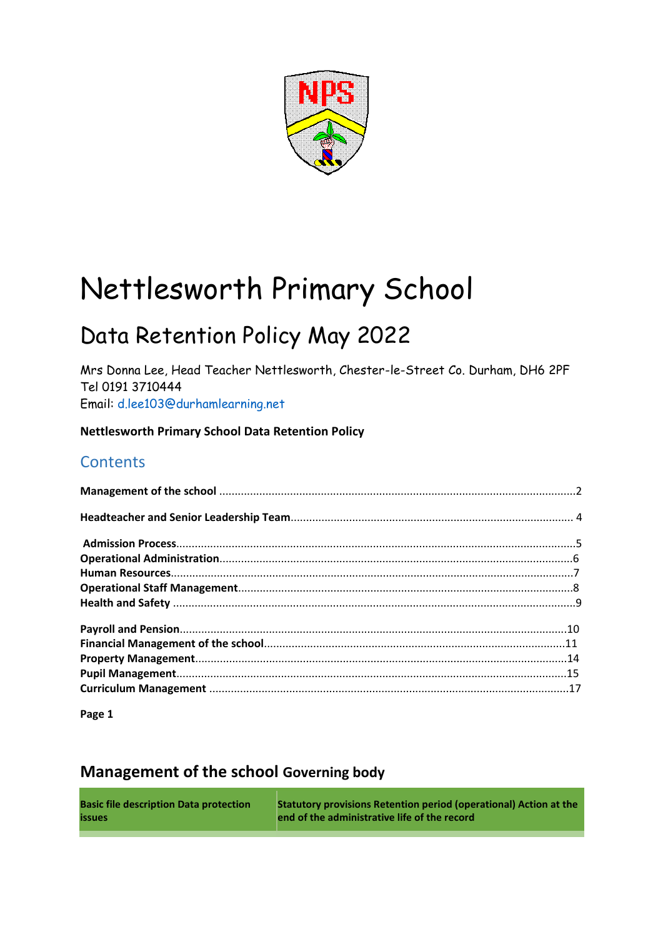

# Nettlesworth Primary School

## Data Retention Policy May 2022

Mrs Donna Lee, Head Teacher Nettlesworth, Chester-le-Street Co. Durham, DH6 2PF Tel 0191 3710444 Email: d.lee103@durhamlearning.net

**Nettlesworth Primary School Data Retention Policy** 

#### **Contents**

**Page 1** 

### **Management of the school Governing body**

| <b>Basic file description Data protection</b> | <b>Statutory provisions Retention period (operational) Action at the</b> |
|-----------------------------------------------|--------------------------------------------------------------------------|
| <b>issues</b>                                 | end of the administrative life of the record                             |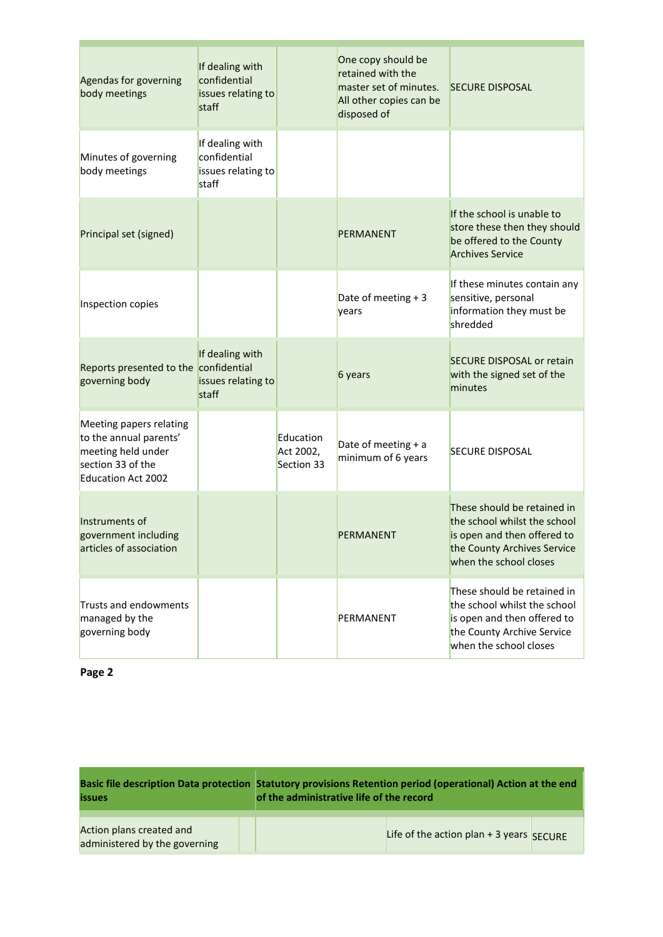| Agendas for governing<br>body meetings                                                                                    | If dealing with<br>confidential<br>issues relating to<br>staff |                                      | One copy should be<br>retained with the<br>master set of minutes.<br>All other copies can be<br>disposed of | <b>SECURE DISPOSAL</b>                                                                                                                              |
|---------------------------------------------------------------------------------------------------------------------------|----------------------------------------------------------------|--------------------------------------|-------------------------------------------------------------------------------------------------------------|-----------------------------------------------------------------------------------------------------------------------------------------------------|
| Minutes of governing<br>body meetings                                                                                     | If dealing with<br>confidential<br>issues relating to<br>staff |                                      |                                                                                                             |                                                                                                                                                     |
| Principal set (signed)                                                                                                    |                                                                |                                      | PERMANENT                                                                                                   | If the school is unable to<br>store these then they should<br>be offered to the County<br><b>Archives Service</b>                                   |
| Inspection copies                                                                                                         |                                                                |                                      | Date of meeting $+3$<br>years                                                                               | If these minutes contain any<br>sensitive, personal<br>information they must be<br>shredded                                                         |
| Reports presented to the confidential<br>governing body                                                                   | If dealing with<br>issues relating to<br>staff                 |                                      | 6 years                                                                                                     | <b>SECURE DISPOSAL or retain</b><br>with the signed set of the<br>minutes                                                                           |
| Meeting papers relating<br>to the annual parents'<br>meeting held under<br>section 33 of the<br><b>Education Act 2002</b> |                                                                | Education<br>Act 2002,<br>Section 33 | Date of meeting $+ a$<br>minimum of 6 years                                                                 | <b>SECURE DISPOSAL</b>                                                                                                                              |
| Instruments of<br>government including<br>articles of association                                                         |                                                                |                                      | PERMANENT                                                                                                   | These should be retained in<br>the school whilst the school<br>is open and then offered to<br>the County Archives Service<br>when the school closes |
| Trusts and endowments<br>managed by the<br>governing body                                                                 |                                                                |                                      | PERMANENT                                                                                                   | These should be retained in<br>the school whilst the school<br>is open and then offered to<br>the County Archive Service<br>when the school closes  |

| <b>issues</b>                                             | Basic file description Data protection Statutory provisions Retention period (operational) Action at the end<br>of the administrative life of the record |  |  |  |
|-----------------------------------------------------------|----------------------------------------------------------------------------------------------------------------------------------------------------------|--|--|--|
| Action plans created and<br>administered by the governing | Life of the action plan + 3 years $SECURE$                                                                                                               |  |  |  |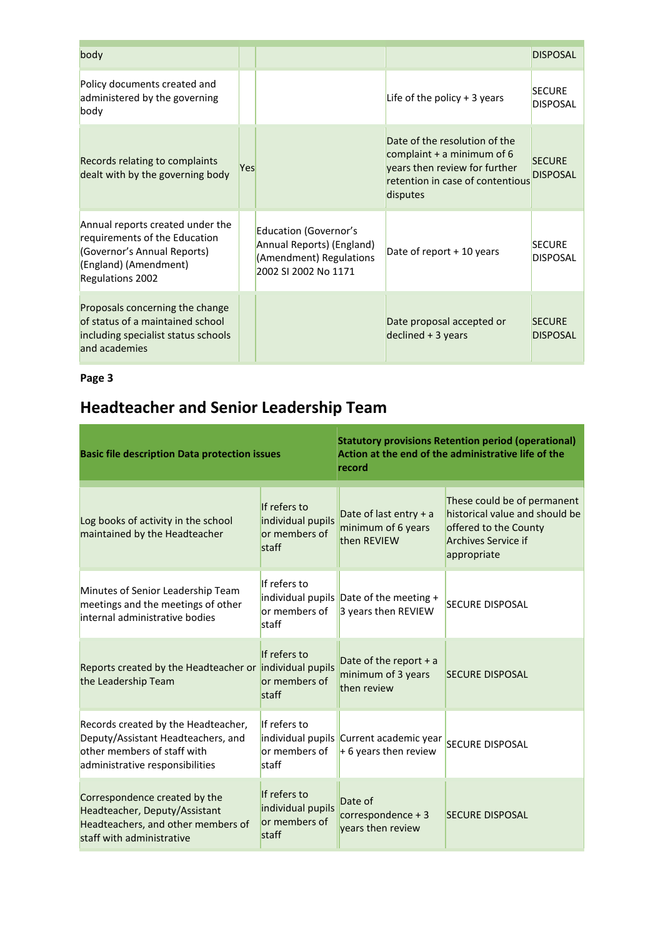| body                                                                                                                                                 |     |                                                                                                              |                                                                                                                                                | <b>DISPOSAL</b>                  |
|------------------------------------------------------------------------------------------------------------------------------------------------------|-----|--------------------------------------------------------------------------------------------------------------|------------------------------------------------------------------------------------------------------------------------------------------------|----------------------------------|
| Policy documents created and<br>administered by the governing<br>body                                                                                |     |                                                                                                              | Life of the policy $+3$ years                                                                                                                  | <b>SECURE</b><br><b>DISPOSAL</b> |
| Records relating to complaints<br>dealt with by the governing body                                                                                   | Yes |                                                                                                              | Date of the resolution of the<br>complaint $+$ a minimum of 6<br>years then review for further<br>retention in case of contentious<br>disputes | <b>SECURE</b><br><b>DISPOSAL</b> |
| Annual reports created under the<br>requirements of the Education<br>(Governor's Annual Reports)<br>(England) (Amendment)<br><b>Regulations 2002</b> |     | <b>Education (Governor's</b><br>Annual Reports) (England)<br>(Amendment) Regulations<br>2002 SI 2002 No 1171 | Date of report + 10 years                                                                                                                      | <b>SECURE</b><br><b>DISPOSAL</b> |
| Proposals concerning the change<br>of status of a maintained school<br>including specialist status schools<br>and academies                          |     |                                                                                                              | Date proposal accepted or<br>$declined + 3 years$                                                                                              | <b>SECURE</b><br><b>DISPOSAL</b> |

## **Headteacher and Senior Leadership Team**

| <b>Basic file description Data protection issues</b>                                                                                        |                                                             | <b>Statutory provisions Retention period (operational)</b><br>Action at the end of the administrative life of the<br>record |                                                                                                                                     |  |
|---------------------------------------------------------------------------------------------------------------------------------------------|-------------------------------------------------------------|-----------------------------------------------------------------------------------------------------------------------------|-------------------------------------------------------------------------------------------------------------------------------------|--|
| Log books of activity in the school<br>maintained by the Headteacher                                                                        | If refers to<br>individual pupils<br>or members of<br>staff | Date of last entry + a<br>minimum of 6 years<br>then REVIEW                                                                 | These could be of permanent<br>historical value and should be<br>offered to the County<br><b>Archives Service if</b><br>appropriate |  |
| Minutes of Senior Leadership Team<br>meetings and the meetings of other<br>internal administrative bodies                                   | If refers to<br>or members of<br>staff                      | individual pupils Date of the meeting +<br>3 years then REVIEW                                                              | <b>SECURE DISPOSAL</b>                                                                                                              |  |
| Reports created by the Headteacher or individual pupils<br>the Leadership Team                                                              | If refers to<br>or members of<br>staff                      | Date of the report $+ a$<br>minimum of 3 years<br>then review                                                               | <b>SECURE DISPOSAL</b>                                                                                                              |  |
| Records created by the Headteacher,<br>Deputy/Assistant Headteachers, and<br>other members of staff with<br>administrative responsibilities | If refers to<br>or members of<br>staff                      | individual pupils Current academic year<br>$+6$ years then review                                                           | <b>SECURE DISPOSAL</b>                                                                                                              |  |
| Correspondence created by the<br>Headteacher, Deputy/Assistant<br>Headteachers, and other members of<br>staff with administrative           | If refers to<br>individual pupils<br>or members of<br>staff | Date of<br>$correspondence + 3$<br>years then review                                                                        | <b>SECURE DISPOSAL</b>                                                                                                              |  |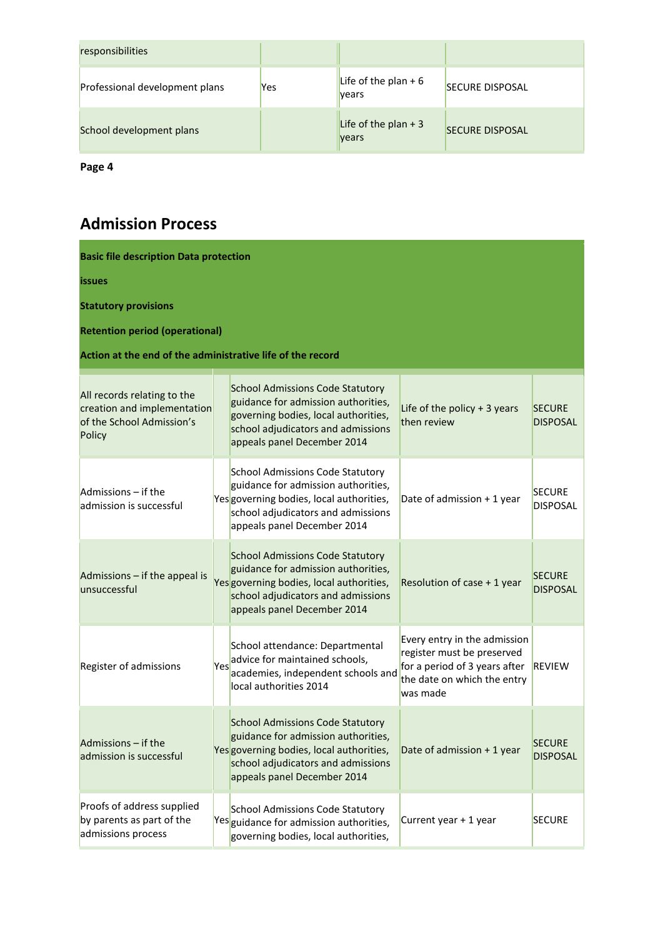| responsibilities               |     |                                |                        |
|--------------------------------|-----|--------------------------------|------------------------|
| Professional development plans | Yes | Life of the plan $+6$<br>vears | <b>SECURE DISPOSAL</b> |
| School development plans       |     | Life of the plan $+3$<br>years | <b>SECURE DISPOSAL</b> |

## **Admission Process**

| <b>Basic file description Data protection</b>                                                     |     |                                                                                                                                                                                                 |                                                                                                                                        |                                  |  |  |  |  |
|---------------------------------------------------------------------------------------------------|-----|-------------------------------------------------------------------------------------------------------------------------------------------------------------------------------------------------|----------------------------------------------------------------------------------------------------------------------------------------|----------------------------------|--|--|--|--|
| <i>issues</i>                                                                                     |     |                                                                                                                                                                                                 |                                                                                                                                        |                                  |  |  |  |  |
| <b>Statutory provisions</b>                                                                       |     |                                                                                                                                                                                                 |                                                                                                                                        |                                  |  |  |  |  |
| <b>Retention period (operational)</b>                                                             |     |                                                                                                                                                                                                 |                                                                                                                                        |                                  |  |  |  |  |
| Action at the end of the administrative life of the record                                        |     |                                                                                                                                                                                                 |                                                                                                                                        |                                  |  |  |  |  |
| All records relating to the<br>creation and implementation<br>of the School Admission's<br>Policy |     | <b>School Admissions Code Statutory</b><br>guidance for admission authorities,<br>governing bodies, local authorities,<br>school adjudicators and admissions<br>appeals panel December 2014     | Life of the policy $+3$ years<br>then review                                                                                           | <b>SECURE</b><br><b>DISPOSAL</b> |  |  |  |  |
| Admissions - if the<br>admission is successful                                                    |     | <b>School Admissions Code Statutory</b><br>guidance for admission authorities,<br>Yes governing bodies, local authorities,<br>school adjudicators and admissions<br>appeals panel December 2014 | Date of admission + 1 year                                                                                                             | <b>SECURE</b><br><b>DISPOSAL</b> |  |  |  |  |
| Admissions - if the appeal is<br>unsuccessful                                                     |     | <b>School Admissions Code Statutory</b><br>guidance for admission authorities,<br>Yes governing bodies, local authorities,<br>school adjudicators and admissions<br>appeals panel December 2014 | Resolution of case + 1 year                                                                                                            | <b>SECURE</b><br><b>DISPOSAL</b> |  |  |  |  |
| Register of admissions                                                                            | Yes | School attendance: Departmental<br>advice for maintained schools,<br>academies, independent schools and<br>local authorities 2014                                                               | Every entry in the admission<br>register must be preserved<br>for a period of 3 years after<br>the date on which the entry<br>was made | <b>REVIEW</b>                    |  |  |  |  |
| Admissions - if the<br>admission is successful                                                    |     | <b>School Admissions Code Statutory</b><br>guidance for admission authorities,<br>Yes governing bodies, local authorities,<br>school adjudicators and admissions<br>appeals panel December 2014 | Date of admission + 1 year                                                                                                             | <b>SECURE</b><br><b>DISPOSAL</b> |  |  |  |  |
| Proofs of address supplied<br>by parents as part of the<br>admissions process                     |     | <b>School Admissions Code Statutory</b><br>Yes guidance for admission authorities,<br>governing bodies, local authorities,                                                                      | Current year + 1 year                                                                                                                  | <b>SECURE</b>                    |  |  |  |  |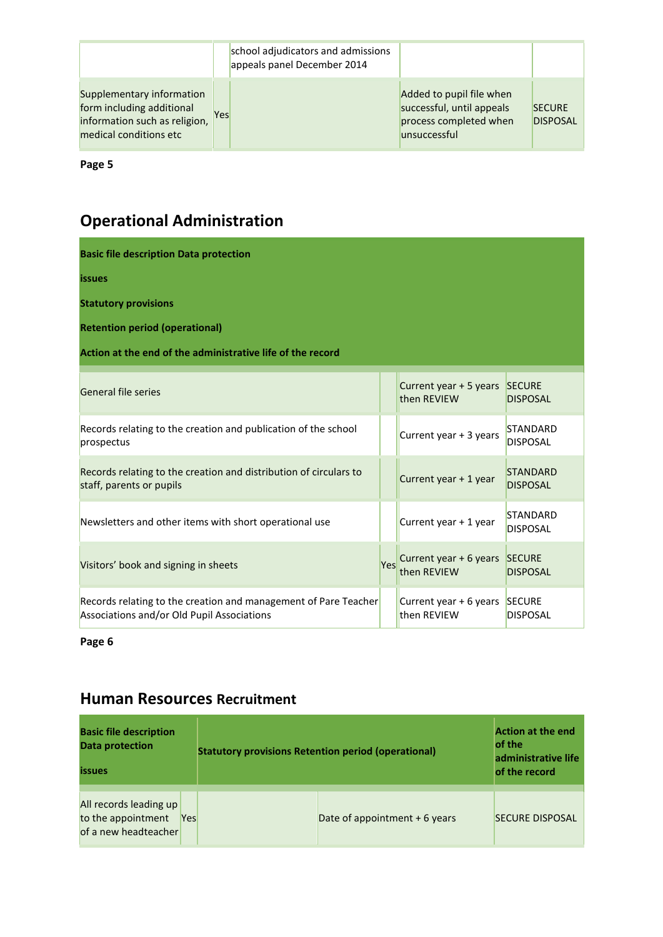|                                                                                                                   |     | school adjudicators and admissions<br>appeals panel December 2014 |                                                                                                 |                                  |
|-------------------------------------------------------------------------------------------------------------------|-----|-------------------------------------------------------------------|-------------------------------------------------------------------------------------------------|----------------------------------|
| Supplementary information<br>form including additional<br>information such as religion,<br>medical conditions etc | Yes |                                                                   | Added to pupil file when<br>successful, until appeals<br>process completed when<br>unsuccessful | <b>SECURE</b><br><b>DISPOSAL</b> |

## **Operational Administration**

| <b>Basic file description Data protection</b>                                                                 |     |                                              |                                    |  |  |  |  |  |  |
|---------------------------------------------------------------------------------------------------------------|-----|----------------------------------------------|------------------------------------|--|--|--|--|--|--|
| <b>issues</b>                                                                                                 |     |                                              |                                    |  |  |  |  |  |  |
| <b>Statutory provisions</b>                                                                                   |     |                                              |                                    |  |  |  |  |  |  |
| <b>Retention period (operational)</b>                                                                         |     |                                              |                                    |  |  |  |  |  |  |
| Action at the end of the administrative life of the record                                                    |     |                                              |                                    |  |  |  |  |  |  |
| General file series                                                                                           |     | Current year + 5 years SECURE<br>then REVIEW | <b>DISPOSAL</b>                    |  |  |  |  |  |  |
| Records relating to the creation and publication of the school<br>prospectus                                  |     | Current year + 3 years                       | <b>STANDARD</b><br><b>DISPOSAL</b> |  |  |  |  |  |  |
| Records relating to the creation and distribution of circulars to<br>staff, parents or pupils                 |     | Current year + 1 year                        | <b>STANDARD</b><br><b>DISPOSAL</b> |  |  |  |  |  |  |
| Newsletters and other items with short operational use                                                        |     | Current year + 1 year                        | <b>STANDARD</b><br><b>DISPOSAL</b> |  |  |  |  |  |  |
| Visitors' book and signing in sheets                                                                          | Yes | Current year + 6 years SECURE<br>then REVIEW | <b>DISPOSAL</b>                    |  |  |  |  |  |  |
| Records relating to the creation and management of Pare Teacher<br>Associations and/or Old Pupil Associations |     | Current year + 6 years SECURE<br>then REVIEW | <b>DISPOSAL</b>                    |  |  |  |  |  |  |

**Page 6** 

#### **Human Resources Recruitment**

| <b>Basic file description</b><br><b>Data protection</b><br><b>issues</b> |            | <b>Statutory provisions Retention period (operational)</b> | <b>Action at the end</b><br>of the<br>administrative life<br>of the record |                        |
|--------------------------------------------------------------------------|------------|------------------------------------------------------------|----------------------------------------------------------------------------|------------------------|
| All records leading up<br>to the appointment<br>of a new headteacher     | <b>Yes</b> |                                                            | Date of appointment + 6 years                                              | <b>SECURE DISPOSAL</b> |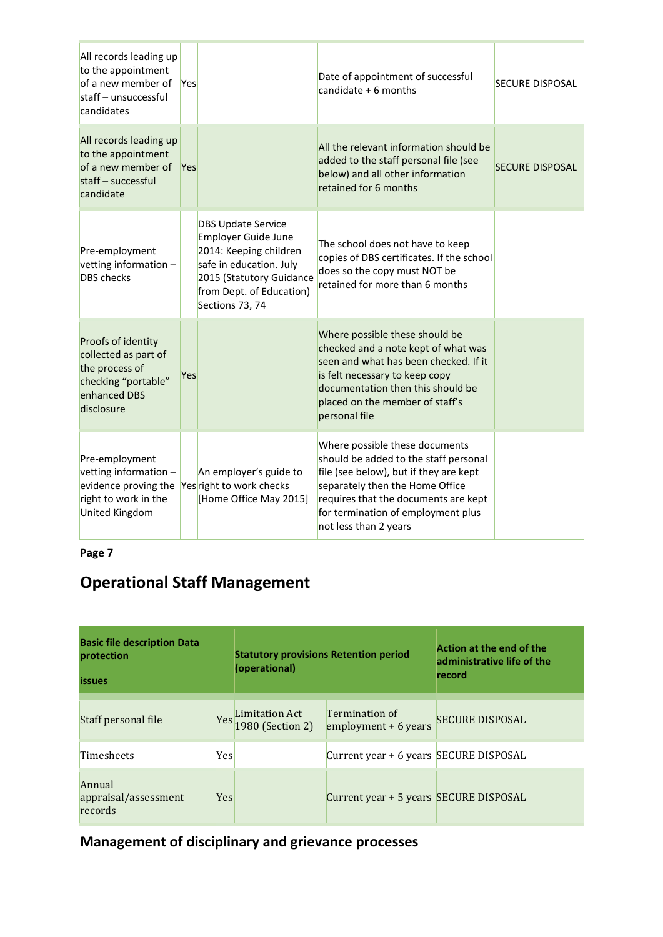| All records leading up<br>to the appointment<br>of a new member of<br>staff - unsuccessful<br>candidates           | <b>Yes</b> |                                                                                                                                                                                         | Date of appointment of successful<br>candidate $+6$ months                                                                                                                                                                                                  | <b>SECURE DISPOSAL</b> |
|--------------------------------------------------------------------------------------------------------------------|------------|-----------------------------------------------------------------------------------------------------------------------------------------------------------------------------------------|-------------------------------------------------------------------------------------------------------------------------------------------------------------------------------------------------------------------------------------------------------------|------------------------|
| All records leading up<br>to the appointment<br>of a new member of<br>staff - successful<br>candidate              | Yes        |                                                                                                                                                                                         | All the relevant information should be<br>added to the staff personal file (see<br>below) and all other information<br>retained for 6 months                                                                                                                | <b>SECURE DISPOSAL</b> |
| Pre-employment<br>vetting information -<br><b>DBS</b> checks                                                       |            | <b>DBS Update Service</b><br><b>Employer Guide June</b><br>2014: Keeping children<br>safe in education. July<br>2015 (Statutory Guidance<br>from Dept. of Education)<br>Sections 73, 74 | The school does not have to keep<br>copies of DBS certificates. If the school<br>does so the copy must NOT be<br>retained for more than 6 months                                                                                                            |                        |
| Proofs of identity<br>collected as part of<br>the process of<br>checking "portable"<br>enhanced DBS<br>disclosure  | Yes        |                                                                                                                                                                                         | Where possible these should be<br>checked and a note kept of what was<br>seen and what has been checked. If it<br>is felt necessary to keep copy<br>documentation then this should be<br>placed on the member of staff's<br>personal file                   |                        |
| Pre-employment<br>vetting information $-$<br>evidence proving the<br>right to work in the<br><b>United Kingdom</b> |            | An employer's guide to<br>Yes right to work checks<br>[Home Office May 2015]                                                                                                            | Where possible these documents<br>should be added to the staff personal<br>file (see below), but if they are kept<br>separately then the Home Office<br>requires that the documents are kept<br>for termination of employment plus<br>not less than 2 years |                        |

**Page 7** 

## **Operational Staff Management**

| <b>Basic file description Data</b><br>protection<br><b>issues</b> |     | <b>Statutory provisions Retention period</b><br>(operational) |                                         | Action at the end of the<br>administrative life of the<br>record |
|-------------------------------------------------------------------|-----|---------------------------------------------------------------|-----------------------------------------|------------------------------------------------------------------|
| Staff personal file                                               |     | Yes Limitation Act<br>1980 (Section 2)                        | Termination of<br>employment $+6$ years | <b>SECURE DISPOSAL</b>                                           |
| Timesheets                                                        | Yes |                                                               | Current year + 6 years SECURE DISPOSAL  |                                                                  |
| Annual<br>appraisal/assessment<br>records                         | Yes |                                                               | Current year + 5 years SECURE DISPOSAL  |                                                                  |

**Management of disciplinary and grievance processes**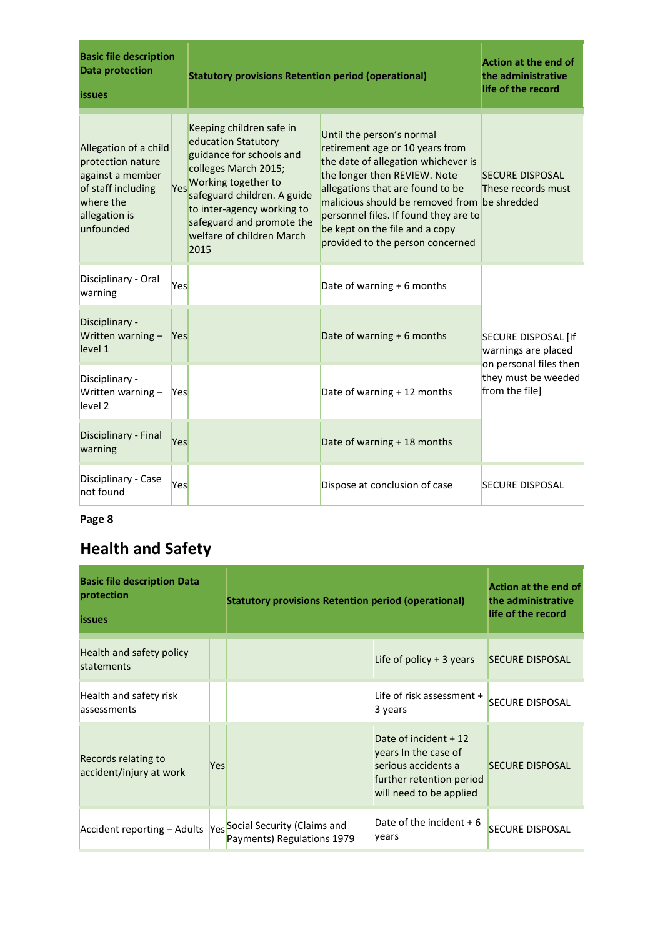| <b>Basic file description</b><br><b>Data protection</b><br><i>issues</i>                                                        |     | <b>Statutory provisions Retention period (operational)</b>                                                                                                                                                                                                | <b>Action at the end of</b><br>the administrative<br>life of the record                                                                                                                                                                                                                                                                |                                                                 |
|---------------------------------------------------------------------------------------------------------------------------------|-----|-----------------------------------------------------------------------------------------------------------------------------------------------------------------------------------------------------------------------------------------------------------|----------------------------------------------------------------------------------------------------------------------------------------------------------------------------------------------------------------------------------------------------------------------------------------------------------------------------------------|-----------------------------------------------------------------|
| Allegation of a child<br>protection nature<br>against a member<br>of staff including<br>where the<br>allegation is<br>unfounded | Yes | Keeping children safe in<br>education Statutory<br>guidance for schools and<br>colleges March 2015;<br>Working together to<br>safeguard children. A guide<br>to inter-agency working to<br>safeguard and promote the<br>welfare of children March<br>2015 | Until the person's normal<br>retirement age or 10 years from<br>the date of allegation whichever is<br>the longer then REVIEW. Note<br>allegations that are found to be<br>malicious should be removed from be shredded<br>personnel files. If found they are to<br>be kept on the file and a copy<br>provided to the person concerned | <b>SECURE DISPOSAL</b><br>These records must                    |
| Disciplinary - Oral<br>warning                                                                                                  | Yes |                                                                                                                                                                                                                                                           | Date of warning + 6 months                                                                                                                                                                                                                                                                                                             |                                                                 |
| Disciplinary -<br>Written warning - Yes<br>level 1                                                                              |     |                                                                                                                                                                                                                                                           | Date of warning + 6 months                                                                                                                                                                                                                                                                                                             | SECURE DISPOSAL [If<br>warnings are placed                      |
| Disciplinary -<br>Written warning -<br>Yes<br>level 2                                                                           |     |                                                                                                                                                                                                                                                           | Date of warning + 12 months                                                                                                                                                                                                                                                                                                            | on personal files then<br>they must be weeded<br>from the file] |
| Disciplinary - Final<br>warning                                                                                                 | Yes |                                                                                                                                                                                                                                                           | Date of warning + 18 months                                                                                                                                                                                                                                                                                                            |                                                                 |
| Disciplinary - Case<br>not found                                                                                                | Yes |                                                                                                                                                                                                                                                           | Dispose at conclusion of case                                                                                                                                                                                                                                                                                                          | <b>SECURE DISPOSAL</b>                                          |

## **Health and Safety**

| <b>Basic file description Data</b><br>protection<br><i>issues</i> |     | <b>Statutory provisions Retention period (operational)</b> | <b>Action at the end of</b><br>the administrative<br>life of the record                                                     |                        |
|-------------------------------------------------------------------|-----|------------------------------------------------------------|-----------------------------------------------------------------------------------------------------------------------------|------------------------|
| Health and safety policy<br>statements                            |     |                                                            | Life of policy $+3$ years                                                                                                   | <b>SECURE DISPOSAL</b> |
| Health and safety risk<br>assessments                             |     |                                                            | Life of risk assessment +<br>3 years                                                                                        | <b>SECURE DISPOSAL</b> |
| Records relating to<br>accident/injury at work                    | Yes |                                                            | Date of incident + 12<br>years in the case of<br>serious accidents a<br>further retention period<br>will need to be applied | <b>SECURE DISPOSAL</b> |
| Accident reporting - Adults   Yes  Social Security (Claims and    |     | Payments) Regulations 1979                                 | Date of the incident $+6$<br>vears                                                                                          | <b>SECURE DISPOSAL</b> |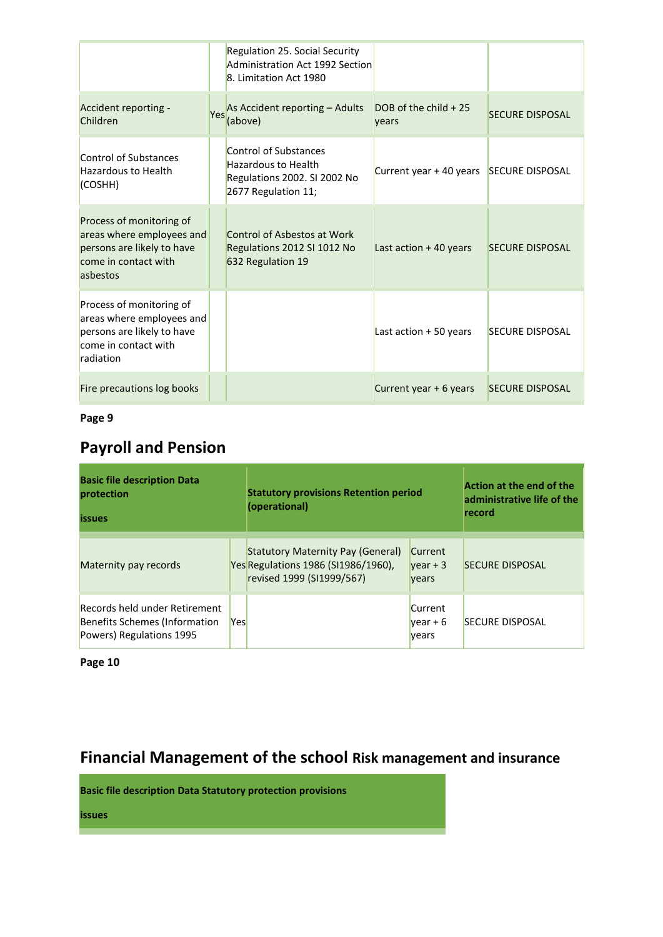|                                                                                                                          | <b>Regulation 25. Social Security</b><br>Administration Act 1992 Section<br>8. Limitation Act 1980         |                                   |                        |
|--------------------------------------------------------------------------------------------------------------------------|------------------------------------------------------------------------------------------------------------|-----------------------------------|------------------------|
| Accident reporting -<br>Children                                                                                         | Yes As Accident reporting - Adults<br>(above)                                                              | $DOB$ of the child $+25$<br>vears | <b>SECURE DISPOSAL</b> |
| Control of Substances<br><b>Hazardous to Health</b><br>(COSHH)                                                           | Control of Substances<br><b>Hazardous to Health</b><br>Regulations 2002. SI 2002 No<br>2677 Regulation 11; | Current year + 40 years           | <b>SECURE DISPOSAL</b> |
| Process of monitoring of<br>areas where employees and<br>persons are likely to have<br>come in contact with<br>asbestos  | Control of Asbestos at Work<br>Regulations 2012 SI 1012 No<br>632 Regulation 19                            | Last action $+40$ years           | <b>SECURE DISPOSAL</b> |
| Process of monitoring of<br>areas where employees and<br>persons are likely to have<br>come in contact with<br>radiation |                                                                                                            | Last action $+50$ years           | <b>SECURE DISPOSAL</b> |
| Fire precautions log books                                                                                               |                                                                                                            | Current year + 6 years            | <b>SECURE DISPOSAL</b> |

## **Payroll and Pension**

| <b>Basic file description Data</b><br>protection<br><b>issues</b>                          |     | <b>Statutory provisions Retention period</b><br>(operational)                                         |                                       | Action at the end of the<br>administrative life of the<br>record |
|--------------------------------------------------------------------------------------------|-----|-------------------------------------------------------------------------------------------------------|---------------------------------------|------------------------------------------------------------------|
| Maternity pay records                                                                      |     | Statutory Maternity Pay (General)<br>Yes Regulations 1986 (SI1986/1960),<br>revised 1999 (SI1999/567) | Current<br>$\sqrt{2}$<br><b>vears</b> | <b>SECURE DISPOSAL</b>                                           |
| Records held under Retirement<br>Benefits Schemes (Information<br>Powers) Regulations 1995 | Yes |                                                                                                       | Current<br>$\sqrt{2}$<br>vears        | <b>SECURE DISPOSAL</b>                                           |

**Page 10** 

## **Financial Management of the school Risk management and insurance**

**Basic file description Data Statutory protection provisions** 

**issues**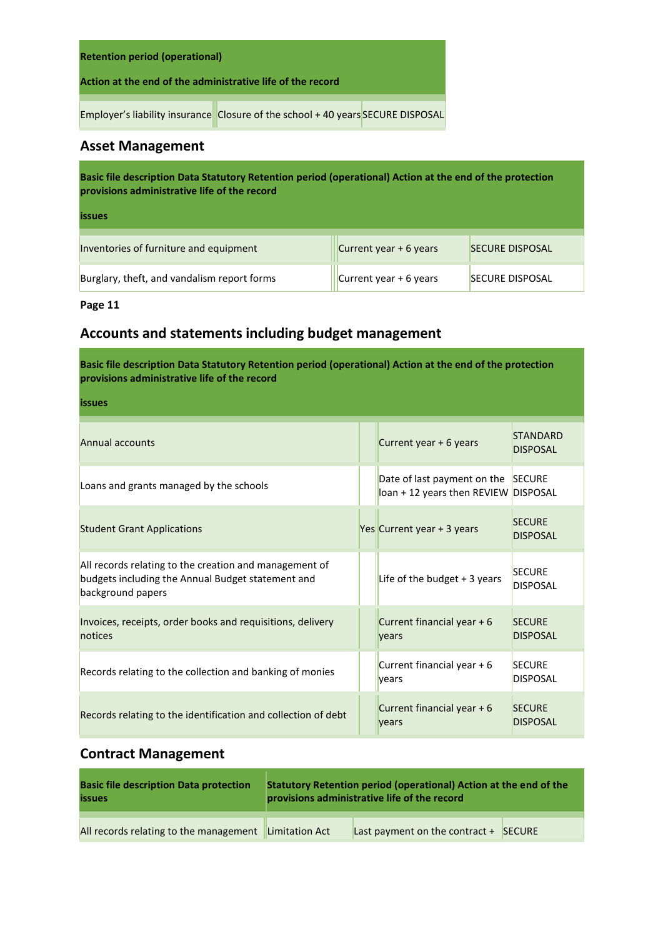| <b>Retention period (operational)</b>                                           |  |  |  |  |  |  |
|---------------------------------------------------------------------------------|--|--|--|--|--|--|
| Action at the end of the administrative life of the record                      |  |  |  |  |  |  |
| Employer's liability insurance Closure of the school + 40 years SECURE DISPOSAL |  |  |  |  |  |  |

#### **Asset Management**

**Basic file description Data Statutory Retention period (operational) Action at the end of the protection provisions administrative life of the record** 

| . .<br>. .<br><b>Service Service</b> | . .<br><b>Service Service</b> | . .<br><b>Service Service</b> | ٠ |
|--------------------------------------|-------------------------------|-------------------------------|---|

| Inventories of furniture and equipment      | Current year + 6 years                      | <b>SECURE DISPOSAL</b> |
|---------------------------------------------|---------------------------------------------|------------------------|
| Burglary, theft, and vandalism report forms | $\sqrt{\frac{1}{1}}$ Current year + 6 years | <b>SECURE DISPOSAL</b> |

**Page 11**

#### **Accounts and statements including budget management**

**Basic file description Data Statutory Retention period (operational) Action at the end of the protection provisions administrative life of the record** 

| __<br><b>Service Service</b> | __ | <b>Service Service</b> | -- |
|------------------------------|----|------------------------|----|

| Annual accounts                                                                                                                  | Current year + 6 years                                                     | <b>STANDARD</b><br><b>DISPOSAL</b> |
|----------------------------------------------------------------------------------------------------------------------------------|----------------------------------------------------------------------------|------------------------------------|
| Loans and grants managed by the schools                                                                                          | Date of last payment on the SECURE<br>loan + 12 years then REVIEW DISPOSAL |                                    |
| <b>Student Grant Applications</b>                                                                                                | Yes Current year + 3 years                                                 | <b>SECURE</b><br><b>DISPOSAL</b>   |
| All records relating to the creation and management of<br>budgets including the Annual Budget statement and<br>background papers | Life of the budget $+3$ years                                              | <b>SECURE</b><br><b>DISPOSAL</b>   |
| Invoices, receipts, order books and requisitions, delivery<br>notices                                                            | Current financial year $+6$<br>years                                       | <b>SECURE</b><br><b>DISPOSAL</b>   |
| Records relating to the collection and banking of monies                                                                         | Current financial year $+6$<br>vears                                       | <b>SECURE</b><br><b>DISPOSAL</b>   |
| Records relating to the identification and collection of debt                                                                    | Current financial year $+6$<br>vears                                       | <b>SECURE</b><br><b>DISPOSAL</b>   |

#### **Contract Management**

| <b>Basic file description Data protection</b> | Statutory Retention period (operational) Action at the end of the |                                         |  |  |  |
|-----------------------------------------------|-------------------------------------------------------------------|-----------------------------------------|--|--|--|
| <b>issues</b>                                 | provisions administrative life of the record                      |                                         |  |  |  |
| All records relating to the management        | Limitation Act                                                    | Last payment on the contract $+$ SECURE |  |  |  |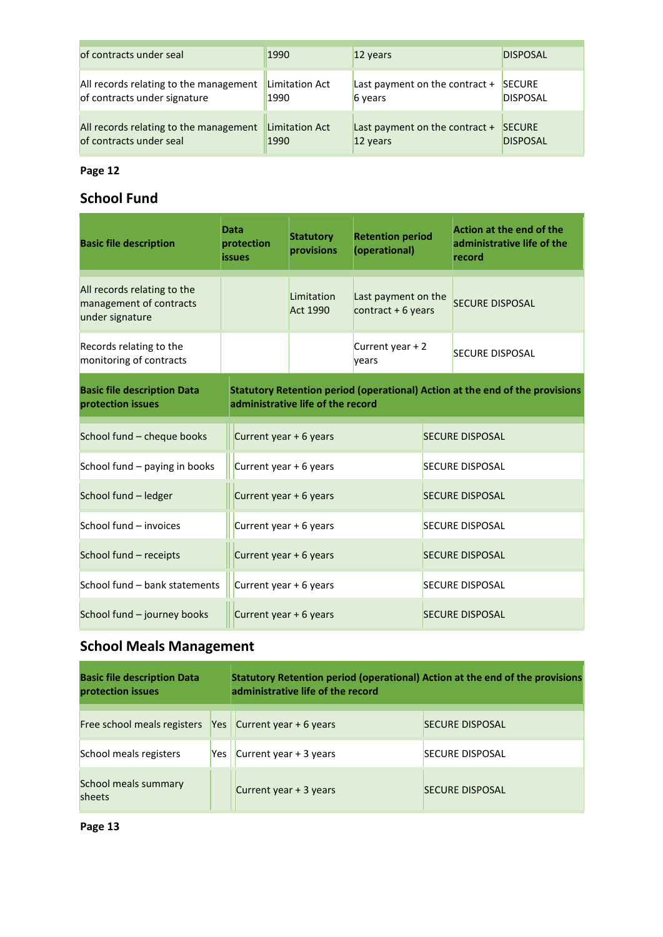| of contracts under seal                | 1990           | 12 years                         | <b>DISPOSAL</b> |
|----------------------------------------|----------------|----------------------------------|-----------------|
| All records relating to the management | Limitation Act | Last payment on the contract $+$ | <b>SECURE</b>   |
| of contracts under signature           | 1990           | 6 years                          | <b>DISPOSAL</b> |
| All records relating to the management | Limitation Act | Last payment on the contract $+$ | <b>SECURE</b>   |
| of contracts under seal                | 1990           | 12 years                         | <b>DISPOSAL</b> |

#### **School Fund**

| <b>Basic file description</b>                                             | Data<br>protection<br><b>issues</b> | <b>Statutory</b><br>provisions    | <b>Retention period</b><br>(operational)   | <b>Action at the end of the</b><br>administrative life of the<br>record      |
|---------------------------------------------------------------------------|-------------------------------------|-----------------------------------|--------------------------------------------|------------------------------------------------------------------------------|
| All records relating to the<br>management of contracts<br>under signature |                                     | Limitation<br><b>Act 1990</b>     | Last payment on the<br>contract $+6$ years | <b>SECURE DISPOSAL</b>                                                       |
| Records relating to the<br>monitoring of contracts                        |                                     |                                   | Current year + 2<br>years                  | <b>SECURE DISPOSAL</b>                                                       |
| <b>Basic file description Data</b><br>protection issues                   |                                     | administrative life of the record |                                            | Statutory Retention period (operational) Action at the end of the provisions |
| School fund - cheque books                                                | Current year + 6 years              |                                   |                                            | <b>SECURE DISPOSAL</b>                                                       |
| School fund - paying in books                                             | Current year + 6 years              |                                   |                                            | <b>SECURE DISPOSAL</b>                                                       |
| School fund - ledger                                                      | Current year + 6 years              |                                   |                                            | <b>SECURE DISPOSAL</b>                                                       |
| School fund - invoices                                                    | Current year + 6 years              |                                   |                                            | <b>SECURE DISPOSAL</b>                                                       |
| School fund - receipts                                                    | Current year + 6 years              |                                   |                                            | <b>SECURE DISPOSAL</b>                                                       |
| School fund - bank statements                                             | Current year + 6 years              |                                   |                                            | <b>SECURE DISPOSAL</b>                                                       |
| School fund - journey books                                               | Current year + 6 years              |                                   |                                            | <b>SECURE DISPOSAL</b>                                                       |

## **School Meals Management**

| <b>Basic file description Data</b><br>protection issues |                  | Statutory Retention period (operational) Action at the end of the provisions<br>administrative life of the record |                        |
|---------------------------------------------------------|------------------|-------------------------------------------------------------------------------------------------------------------|------------------------|
| Free school meals registers                             | Yes <sub>l</sub> | Current year $+6$ years                                                                                           | <b>SECURE DISPOSAL</b> |
| School meals registers                                  | Yes l            | Current year $+3$ years                                                                                           | <b>SECURE DISPOSAL</b> |
| School meals summary<br>sheets                          |                  | Current year + 3 years                                                                                            | <b>SECURE DISPOSAL</b> |

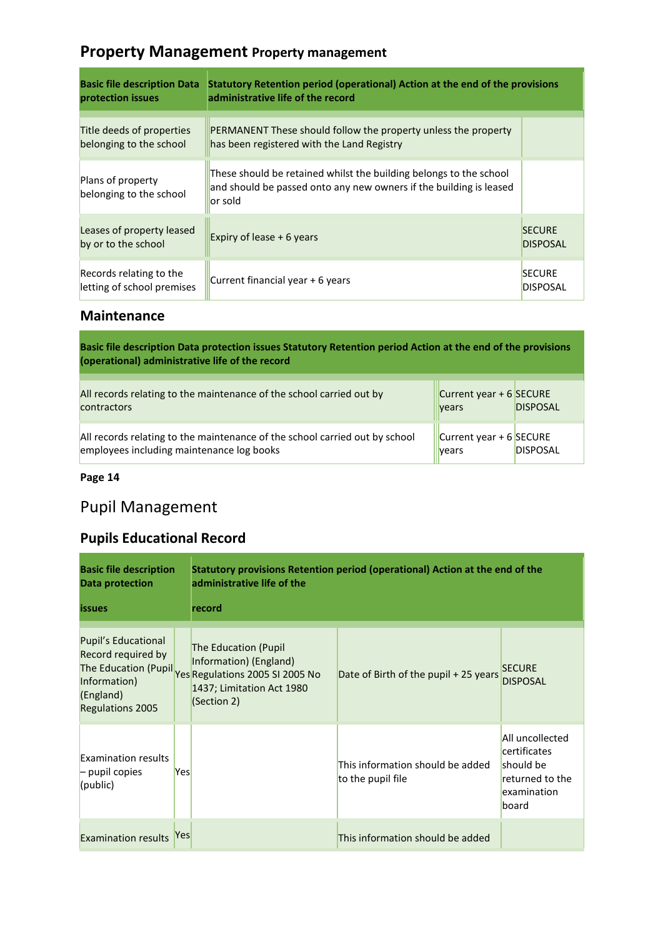#### **Property Management Property management**

| <b>Basic file description Data</b><br>protection issues | <b>Statutory Retention period (operational) Action at the end of the provisions</b><br>administrative life of the record                            |                                  |
|---------------------------------------------------------|-----------------------------------------------------------------------------------------------------------------------------------------------------|----------------------------------|
| Title deeds of properties<br>belonging to the school    | PERMANENT These should follow the property unless the property<br>has been registered with the Land Registry                                        |                                  |
| Plans of property<br>belonging to the school            | These should be retained whilst the building belongs to the school<br>and should be passed onto any new owners if the building is leased<br>or sold |                                  |
| Leases of property leased<br>by or to the school        | Expiry of lease $+6$ years                                                                                                                          | <b>SECURE</b><br><b>DISPOSAL</b> |
| Records relating to the<br>letting of school premises   | Current financial year + 6 years                                                                                                                    | <b>SECURE</b><br><b>DISPOSAL</b> |

#### **Maintenance**

**Basic file description Data protection issues Statutory Retention period Action at the end of the provisions (operational) administrative life of the record** 

| All records relating to the maintenance of the school carried out by<br><b>contractors</b>                               | Current year + 6 SECURE<br>years | <b>DISPOSAL</b> |
|--------------------------------------------------------------------------------------------------------------------------|----------------------------------|-----------------|
| All records relating to the maintenance of the school carried out by school<br>employees including maintenance log books | Current year + 6 SECURE<br>vears | <b>DISPOSAL</b> |

**Page 14** 

## Pupil Management

#### **Pupils Educational Record**

| <b>Basic file description</b><br><b>Data protection</b>                                           |     | administrative life of the                                                                                                                                | Statutory provisions Retention period (operational) Action at the end of the |                                                                                         |
|---------------------------------------------------------------------------------------------------|-----|-----------------------------------------------------------------------------------------------------------------------------------------------------------|------------------------------------------------------------------------------|-----------------------------------------------------------------------------------------|
| <b>issues</b>                                                                                     |     | record                                                                                                                                                    |                                                                              |                                                                                         |
| Pupil's Educational<br>Record required by<br>Information)<br>(England)<br><b>Regulations 2005</b> |     | <b>The Education (Pupil</b><br>Information) (England)<br>The Education (Pupil Yes Regulations 2005 SI 2005 No<br>1437; Limitation Act 1980<br>(Section 2) | Date of Birth of the pupil + 25 years                                        | <b>SECURE</b><br><b>DISPOSAL</b>                                                        |
| <b>Examination results</b><br>$-$ pupil copies<br>(public)                                        | Yes |                                                                                                                                                           | This information should be added<br>to the pupil file                        | All uncollected<br>certificates<br>should be<br>returned to the<br>examination<br>board |
| <b>Examination results</b>                                                                        | Yes |                                                                                                                                                           | This information should be added                                             |                                                                                         |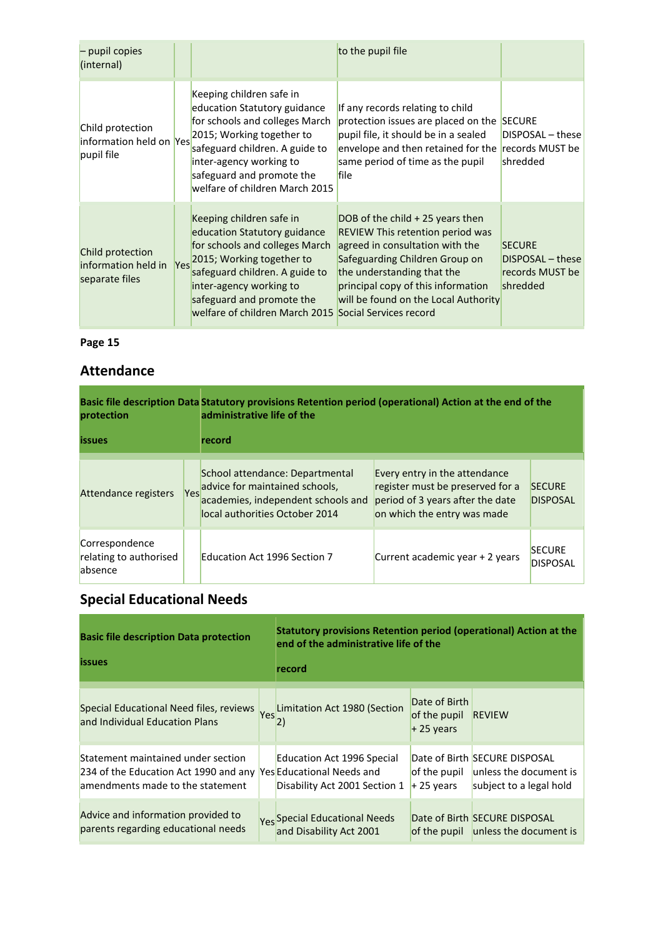| - pupil copies<br>(internal)                                  |                                                                                                                                                                                                                                                                            | to the pupil file                                                                                                                                                                                                                                             |                                                                  |
|---------------------------------------------------------------|----------------------------------------------------------------------------------------------------------------------------------------------------------------------------------------------------------------------------------------------------------------------------|---------------------------------------------------------------------------------------------------------------------------------------------------------------------------------------------------------------------------------------------------------------|------------------------------------------------------------------|
| Child protection<br>linformation held on Yes<br>pupil file    | Keeping children safe in<br>education Statutory guidance<br>for schools and colleges March<br>2015; Working together to<br>safeguard children. A guide to<br>inter-agency working to<br>safeguard and promote the<br>welfare of children March 2015                        | If any records relating to child<br>protection issues are placed on the<br>pupil file, it should be in a sealed<br>envelope and then retained for the records MUST be<br>same period of time as the pupil<br><b>file</b>                                      | <b>SECURE</b><br>DISPOSAL - these<br>shredded                    |
| Child protection<br>information held in Yes<br>separate files | Keeping children safe in<br>education Statutory guidance<br>for schools and colleges March<br>2015; Working together to<br>safeguard children. A guide to<br>inter-agency working to<br>safeguard and promote the<br>welfare of children March 2015 Social Services record | DOB of the child $+25$ years then<br><b>REVIEW This retention period was</b><br>agreed in consultation with the<br>Safeguarding Children Group on<br>the understanding that the<br>principal copy of this information<br>will be found on the Local Authority | <b>SECURE</b><br>DISPOSAL - these<br>records MUST be<br>shredded |

#### **Attendance**

| protection                                          | Basic file description Data Statutory provisions Retention period (operational) Action at the end of the<br>administrative life of the        |                                                                                                                                      |                                  |
|-----------------------------------------------------|-----------------------------------------------------------------------------------------------------------------------------------------------|--------------------------------------------------------------------------------------------------------------------------------------|----------------------------------|
| <b>issues</b>                                       | record                                                                                                                                        |                                                                                                                                      |                                  |
| Attendance registers                                | School attendance: Departmental<br>Yes advice for maintained schools,<br>academies, independent schools and<br>local authorities October 2014 | Every entry in the attendance<br>register must be preserved for a<br>period of 3 years after the date<br>on which the entry was made | <b>SECURE</b><br><b>DISPOSAL</b> |
| Correspondence<br>relating to authorised<br>absence | <b>Education Act 1996 Section 7</b>                                                                                                           | Current academic year + 2 years                                                                                                      | <b>SECURE</b><br><b>DISPOSAL</b> |

## **Special Educational Needs**

| <b>Basic file description Data protection</b><br><b>issues</b>                                                                            |     | Statutory provisions Retention period (operational) Action at the<br>end of the administrative life of the<br>record |                             |                                                                                                 |
|-------------------------------------------------------------------------------------------------------------------------------------------|-----|----------------------------------------------------------------------------------------------------------------------|-----------------------------|-------------------------------------------------------------------------------------------------|
| Special Educational Need files, reviews                                                                                                   | Yes | Limitation Act 1980 (Section                                                                                         | Date of Birth               |                                                                                                 |
| and Individual Education Plans                                                                                                            |     | $\mathbf{2}$                                                                                                         | of the pupil<br>$+25$ years | <b>REVIEW</b>                                                                                   |
| Statement maintained under section<br>234 of the Education Act 1990 and any Yes Educational Needs and<br>amendments made to the statement |     | <b>Education Act 1996 Special</b><br>Disability Act 2001 Section 1                                                   | $+25$ years                 | Date of Birth SECURE DISPOSAL<br>of the pupil unless the document is<br>subject to a legal hold |
| Advice and information provided to<br>parents regarding educational needs                                                                 |     | Yes Special Educational Needs<br>and Disability Act 2001                                                             |                             | Date of Birth SECURE DISPOSAL<br>of the pupil unless the document is                            |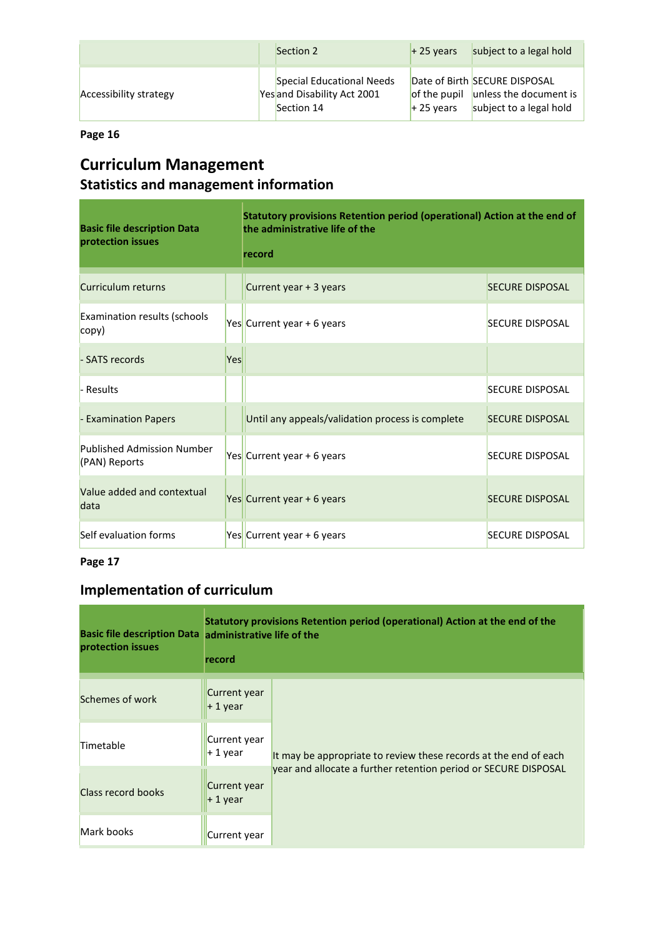|                        | Section 2                                                              | $+25$ years | subject to a legal hold                                                                         |
|------------------------|------------------------------------------------------------------------|-------------|-------------------------------------------------------------------------------------------------|
| Accessibility strategy | Special Educational Needs<br>Yes and Disability Act 2001<br>Section 14 | $+25$ vears | Date of Birth SECURE DISPOSAL<br>of the pupil unless the document is<br>subject to a legal hold |

## **Curriculum Management Statistics and management information**

| <b>Basic file description Data</b><br>protection issues |     | Statutory provisions Retention period (operational) Action at the end of<br>the administrative life of the<br>record |                        |
|---------------------------------------------------------|-----|----------------------------------------------------------------------------------------------------------------------|------------------------|
| Curriculum returns                                      |     | Current year + 3 years                                                                                               | <b>SECURE DISPOSAL</b> |
| <b>Examination results (schools</b><br>copy)            |     | Yes Current year + 6 years                                                                                           | <b>SECURE DISPOSAL</b> |
| - SATS records                                          | Yes |                                                                                                                      |                        |
| Results                                                 |     |                                                                                                                      | <b>SECURE DISPOSAL</b> |
| - Examination Papers                                    |     | Until any appeals/validation process is complete                                                                     | <b>SECURE DISPOSAL</b> |
| <b>Published Admission Number</b><br>(PAN) Reports      |     | Yes Current year + 6 years                                                                                           | <b>SECURE DISPOSAL</b> |
| Value added and contextual<br>data                      |     | Yes Current year + 6 years                                                                                           | <b>SECURE DISPOSAL</b> |
| Self evaluation forms                                   |     | Yes Current year + 6 years                                                                                           | <b>SECURE DISPOSAL</b> |

#### **Page 17**

## **Implementation of curriculum**

| Basic file description Data administrative life of the<br>protection issues | record                    | Statutory provisions Retention period (operational) Action at the end of the                                                        |  |  |  |  |
|-----------------------------------------------------------------------------|---------------------------|-------------------------------------------------------------------------------------------------------------------------------------|--|--|--|--|
| Schemes of work                                                             | Current year<br>$+1$ year |                                                                                                                                     |  |  |  |  |
| Timetable                                                                   | Current year<br>$+1$ year | It may be appropriate to review these records at the end of each<br>year and allocate a further retention period or SECURE DISPOSAL |  |  |  |  |
| <b>Class record books</b>                                                   | Current year<br>$+1$ year |                                                                                                                                     |  |  |  |  |
| Mark books                                                                  | Current year              |                                                                                                                                     |  |  |  |  |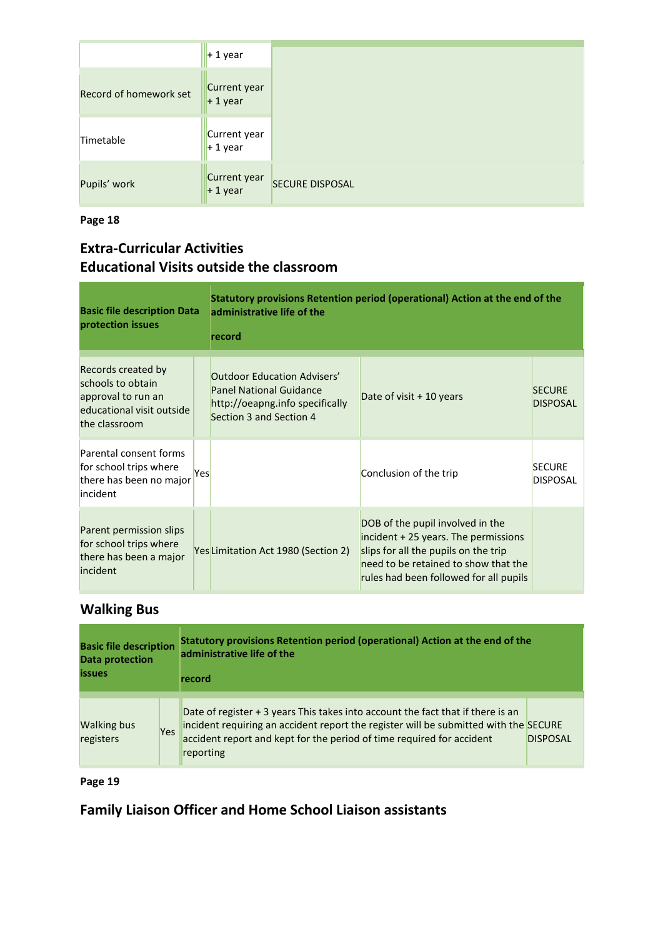|                        | $+1$ year                                           |
|------------------------|-----------------------------------------------------|
| Record of homework set | Current year<br>$+1$ year                           |
| Timetable              | Current year<br>$+1$ year                           |
| Pupils' work           | Current year<br><b>SECURE DISPOSAL</b><br>$+1$ year |

#### **Extra-Curricular Activities Educational Visits outside the classroom**

| <b>Basic file description Data</b><br>protection issues                                                     |     | Statutory provisions Retention period (operational) Action at the end of the<br>administrative life of the<br>record               |                                                                                                                                                                                                     |                                  |  |
|-------------------------------------------------------------------------------------------------------------|-----|------------------------------------------------------------------------------------------------------------------------------------|-----------------------------------------------------------------------------------------------------------------------------------------------------------------------------------------------------|----------------------------------|--|
| Records created by<br>schools to obtain<br>approval to run an<br>educational visit outside<br>the classroom |     | <b>Outdoor Education Advisers'</b><br><b>Panel National Guidance</b><br>http://oeapng.info specifically<br>Section 3 and Section 4 | Date of visit $+10$ years                                                                                                                                                                           | <b>SECURE</b><br><b>DISPOSAL</b> |  |
| Parental consent forms<br>for school trips where<br>there has been no major<br>incident                     | Yes |                                                                                                                                    | Conclusion of the trip                                                                                                                                                                              | <b>SECURE</b><br><b>DISPOSAL</b> |  |
| Parent permission slips<br>for school trips where<br>there has been a major<br>incident                     |     | Yes Limitation Act 1980 (Section 2)                                                                                                | DOB of the pupil involved in the<br>incident $+25$ years. The permissions<br>slips for all the pupils on the trip<br>need to be retained to show that the<br>rules had been followed for all pupils |                                  |  |

## **Walking Bus**

| <b>Basic file description</b>   |            | Statutory provisions Retention period (operational) Action at the end of the                                                                                                                                                                                  |                 |  |  |
|---------------------------------|------------|---------------------------------------------------------------------------------------------------------------------------------------------------------------------------------------------------------------------------------------------------------------|-----------------|--|--|
| <b>Data protection</b>          |            | administrative life of the                                                                                                                                                                                                                                    |                 |  |  |
| <b>issues</b>                   |            | record                                                                                                                                                                                                                                                        |                 |  |  |
| <b>Walking bus</b><br>registers | <b>Yes</b> | Date of register + 3 years This takes into account the fact that if there is an<br>incident requiring an accident report the register will be submitted with the SECURE<br>accident report and kept for the period of time required for accident<br>reporting | <b>DISPOSAL</b> |  |  |

**Page 19** 

**Family Liaison Officer and Home School Liaison assistants**